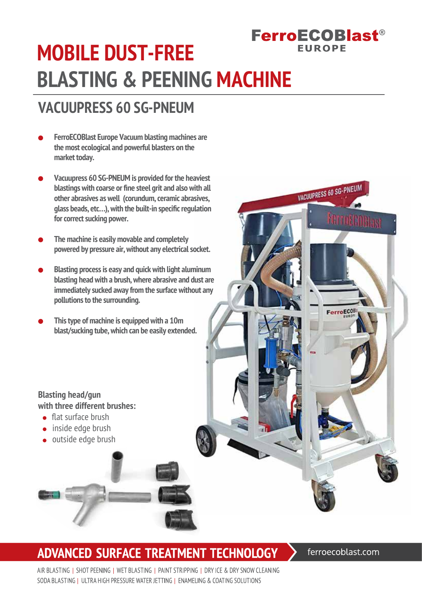# **FerroECOBlast® MOBILE DUST-FREE BLASTING & PEENING MACHINE**

## **VACUUPRESS 60 SG-PNEUM**

- **FerroECOBlast Europe Vacuum blasting machines are the most ecological and powerful blasters on the market today.**
- **Vacuupress 60 SG-PNEUM is provided for the heaviest blastings with coarse or fine steel grit and also with all other abrasives as well (corundum, ceramic abrasives, glass beads, etc…), with the built-in specific regulation for correct sucking power.**
- **The machine is easily movable and completely powered by pressure air, without any electrical socket.**
- **Blasting process is easy and quick with light aluminum blasting head with a brush, where abrasive and dust are immediately sucked away from the surface without any pollutions to the surrounding.**
- **This type of machine is equipped with a 10m blast/sucking tube, which can be easily extended.**

#### **Blasting head/gun with three different brushes:**

- **•** flat surface brush
- inside edge brush
- outside edge brush

## **ADVANCED SURFACE TREATMENT TECHNOLOGY**

ferroecoblast.com

**FUROPE** 

VACUUPRESS 60 SG-PNEUM

MOTTOH (YORLAS)

FerroEC08

AIR BLASTING I SHOT PEENING I WET BLASTING I PAINT STRIPPING I DRY ICE & DRY SNOW CLEANING SODA BLASTING I ULTRA HIGH PRESSURE WATER JETTING I ENAMELING & COATING SOLUTIONS